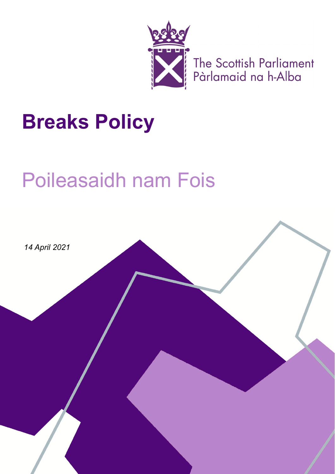

The Scottish Parliament<br>Pàrlamaid na h-Alba

# **Breaks Policy**

## Poileasaidh nam Fois

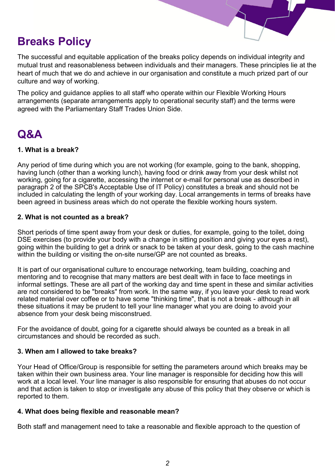### **Breaks Policy**

The successful and equitable application of the breaks policy depends on individual integrity and mutual trust and reasonableness between individuals and their managers. These principles lie at the heart of much that we do and achieve in our organisation and constitute a much prized part of our culture and way of working.

The policy and guidance applies to all staff who operate within our Flexible Working Hours arrangements (separate arrangements apply to operational security staff) and the terms were agreed with the Parliamentary Staff Trades Union Side.

### **Q&A**

#### **1. What is a break?**

Any period of time during which you are not working (for example, going to the bank, shopping, having lunch (other than a working lunch), having food or drink away from your desk whilst not working, going for a cigarette, accessing the internet or e-mail for personal use as described in paragraph 2 of the SPCB's Acceptable Use of IT Policy) constitutes a break and should not be included in calculating the length of your working day. Local arrangements in terms of breaks have been agreed in business areas which do not operate the flexible working hours system.

#### **2. What is not counted as a break?**

Short periods of time spent away from your desk or duties, for example, going to the toilet, doing DSE exercises (to provide your body with a change in sitting position and giving your eyes a rest), going within the building to get a drink or snack to be taken at your desk, going to the cash machine within the building or visiting the on-site nurse/GP are not counted as breaks.

It is part of our organisational culture to encourage networking, team building, coaching and mentoring and to recognise that many matters are best dealt with in face to face meetings in informal settings. These are all part of the working day and time spent in these and similar activities are not considered to be "breaks" from work. In the same way, if you leave your desk to read work related material over coffee or to have some "thinking time", that is not a break - although in all these situations it may be prudent to tell your line manager what you are doing to avoid your absence from your desk being misconstrued.

For the avoidance of doubt, going for a cigarette should always be counted as a break in all circumstances and should be recorded as such.

#### **3. When am I allowed to take breaks?**

Your Head of Office/Group is responsible for setting the parameters around which breaks may be taken within their own business area. Your line manager is responsible for deciding how this will work at a local level. Your line manager is also responsible for ensuring that abuses do not occur and that action is taken to stop or investigate any abuse of this policy that they observe or which is reported to them.

#### **4. What does being flexible and reasonable mean?**

Both staff and management need to take a reasonable and flexible approach to the question of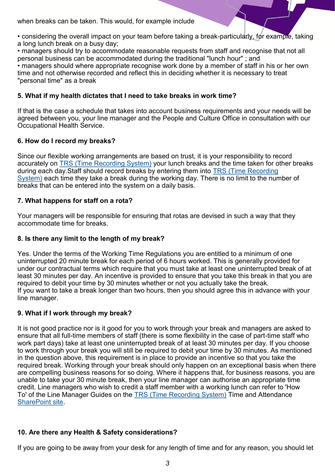when breaks can be taken. This would, for example include

• considering the overall impact on your team before taking a break-particularly, for example, taking a long lunch break on a busy day;

• managers should try to accommodate reasonable requests from staff and recognise that not all personal business can be accommodated during the traditional "lunch hour" ; and

• managers should where appropriate recognise work done by a member of staff in his or her own time and not otherwise recorded and reflect this in deciding whether it is necessary to treat "personal time" as a break

#### **5. What if my health dictates that I need to take breaks in work time?**

If that is the case a schedule that takes into account business requirements and your needs will be agreed between you, your line manager and the People and Culture Office in consultation with our Occupational Health Service.

#### **6. How do I record my breaks?**

Since our flexible working arrangements are based on trust, it is your responsibility to record accurately on [TRS \(Time Recording System\)](https://hosted.softworks.com/spcb/SwFed/Clockwise/) your lunch breaks and the time taken for other breaks during each day.Staff should record breaks by entering them into [TRS \(Time Recording](https://hosted.softworks.com/spcb/SwFed/Clockwise/)  [System\)](https://hosted.softworks.com/spcb/SwFed/Clockwise/) each time they take a break during the working day. There is no limit to the number of breaks that can be entered into the system on a daily basis.

#### **7. What happens for staff on a rota?**

Your managers will be responsible for ensuring that rotas are devised in such a way that they accommodate time for breaks.

#### **8. Is there any limit to the length of my break?**

Yes. Under the terms of the Working Time Regulations you are entitled to a minimum of one uninterrupted 20 minute break for each period of 6 hours worked. This is generally provided for under our contractual terms which require that you must take at least one uninterrupted break of at least 30 minutes per day. An incentive is provided to ensure that you take this break in that you are required to debit your time by 30 minutes whether or not you actually take the break. If you want to take a break longer than two hours, then you should agree this in advance with your line manager.

#### **9. What if I work through my break?**

It is not good practice nor is it good for you to work through your break and managers are asked to ensure that all full-time members of staff (there is some flexibility in the case of part-time staff who work part days) take at least one uninterrupted break of at least 30 minutes per day. If you choose to work through your break you will still be required to debit your time by 30 minutes. As mentioned in the question above, this requirement is in place to provide an incentive so that you take the required break. Working through your break should only happen on an exceptional basis when there are compelling business reasons for so doing. Where it happens that, for business reasons, you are unable to take your 30 minute break, then your line manager can authorise an appropriate time credit. Line managers who wish to credit a staff member with a working lunch can refer to 'How To' of the Line Manager Guides on the [TRS \(Time Recording System\)](https://hosted.softworks.com/spcb/SwFed/Clockwise/) Time and Attendance [SharePoint site.](http://hr/SitePages/Time%20Recording%20and%20Attendance.aspx)

#### **10. Are there any Health & Safety considerations?**

If you are going to be away from your desk for any length of time and for any reason, you should let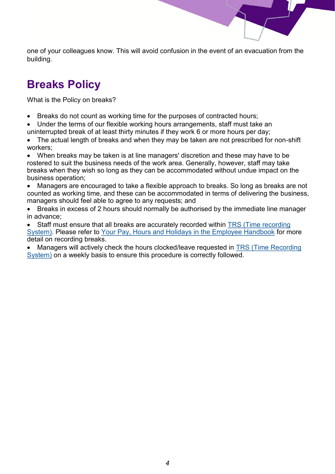one of your colleagues know. This will avoid confusion in the event of an evacuation from the building.

## **Breaks Policy**

What is the Policy on breaks?

- Breaks do not count as working time for the purposes of contracted hours;
- Under the terms of our flexible working hours arrangements, staff must take an uninterrupted break of at least thirty minutes if they work 6 or more hours per day;

• The actual length of breaks and when they may be taken are not prescribed for non-shift workers;

• When breaks may be taken is at line managers' discretion and these may have to be rostered to suit the business needs of the work area. Generally, however, staff may take breaks when they wish so long as they can be accommodated without undue impact on the business operation;

• Managers are encouraged to take a flexible approach to breaks. So long as breaks are not counted as working time, and these can be accommodated in terms of delivering the business, managers should feel able to agree to any requests; and

• Breaks in excess of 2 hours should normally be authorised by the immediate line manager in advance;

• Staff must ensure that all breaks are accurately recorded within [TRS \(Time recording](https://hosted.softworks.com/spcb/SwFed/Clockwise/)  [System\).](https://hosted.softworks.com/spcb/SwFed/Clockwise/) Please refer to [Your Pay, Hours and Holidays in the Employee Handbook](https://www.spstaffhandbook.com/your-pay-hours-holidays) for more detail on recording breaks.

• Managers will actively check the hours clocked/leave requested in [TRS \(Time Recording](https://hosted.softworks.com/spcb/SwFed/Clockwise/)  [System\)](https://hosted.softworks.com/spcb/SwFed/Clockwise/) on a weekly basis to ensure this procedure is correctly followed.